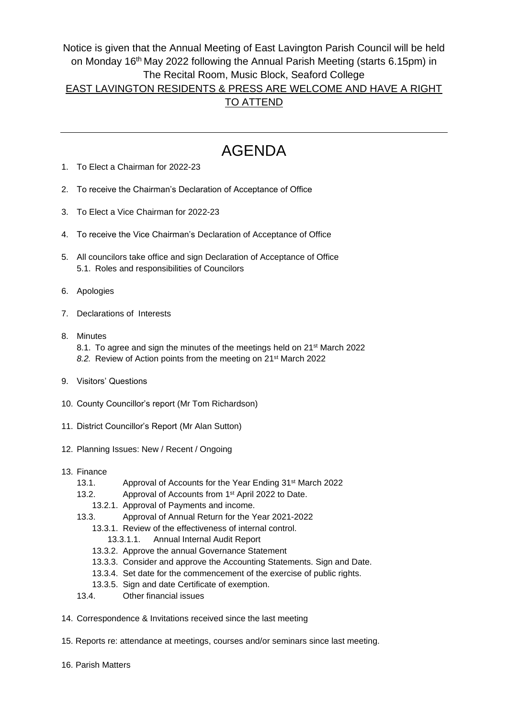## Notice is given that the Annual Meeting of East Lavington Parish Council will be held on Monday 16th May 2022 following the Annual Parish Meeting (starts 6.15pm) in The Recital Room, Music Block, Seaford College EAST LAVINGTON RESIDENTS & PRESS ARE WELCOME AND HAVE A RIGHT

## TO ATTEND

## AGENDA

- 1. To Elect a Chairman for 2022-23
- 2. To receive the Chairman's Declaration of Acceptance of Office
- 3. To Elect a Vice Chairman for 2022-23
- 4. To receive the Vice Chairman's Declaration of Acceptance of Office
- 5. All councilors take office and sign Declaration of Acceptance of Office 5.1. Roles and responsibilities of Councilors
- 6. Apologies
- 7. Declarations of Interests
- 8. Minutes 8.1. To agree and sign the minutes of the meetings held on 21<sup>st</sup> March 2022 *8.2.* Review of Action points from the meeting on 21st March 2022
- 9. Visitors' Questions
- 10. County Councillor's report (Mr Tom Richardson)
- 11. District Councillor's Report (Mr Alan Sutton)
- 12. Planning Issues: New / Recent / Ongoing
- 13. Finance
	- 13.1. Approval of Accounts for the Year Ending 31<sup>st</sup> March 2022
	- 13.2. Approval of Accounts from 1<sup>st</sup> April 2022 to Date.
		- 13.2.1. Approval of Payments and income.
	- 13.3. Approval of Annual Return for the Year 2021-2022
		- 13.3.1. Review of the effectiveness of internal control. 13.3.1.1. Annual Internal Audit Report
		- 13.3.2. Approve the annual Governance Statement
		- 13.3.3. Consider and approve the Accounting Statements. Sign and Date.
		- 13.3.4. Set date for the commencement of the exercise of public rights.
		- 13.3.5. Sign and date Certificate of exemption.
	- 13.4. Other financial issues
- 14. Correspondence & Invitations received since the last meeting
- 15. Reports re: attendance at meetings, courses and/or seminars since last meeting.
- 16. Parish Matters